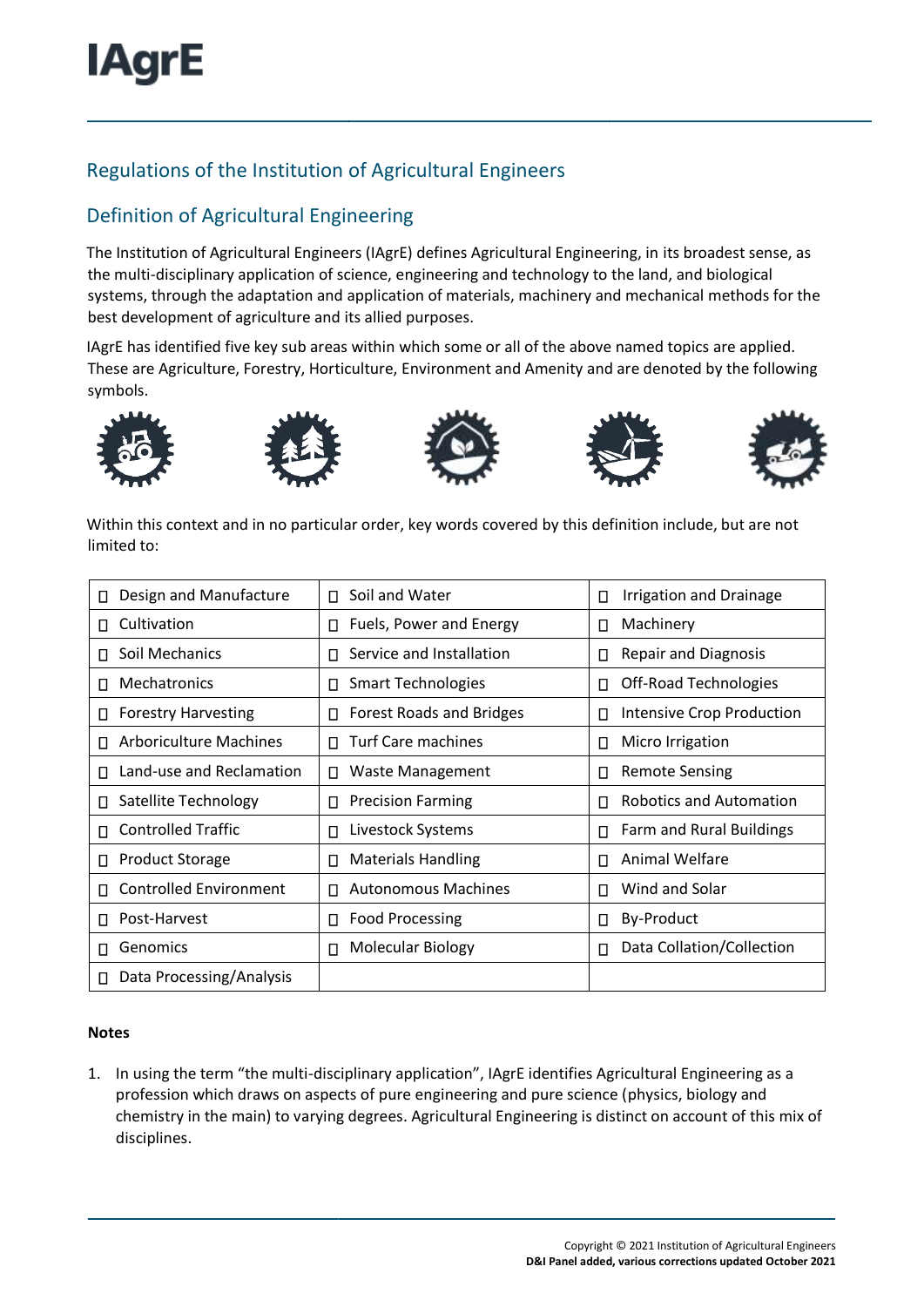# Regulations of the Institution of Agricultural Engineers

# Definition of Agricultural Engineering

The Institution of Agricultural Engineers (IAgrE) defines Agricultural Engineering, in its broadest sense, as the multi-disciplinary application of science, engineering and technology to the land, and biological systems, through the adaptation and application of materials, machinery and mechanical methods for the best development of agriculture and its allied purposes.

IAgrE has identified five key sub areas within which some or all of the above named topics are applied. These are Agriculture, Forestry, Horticulture, Environment and Amenity and are denoted by the following symbols.











Within this context and in no particular order, key words covered by this definition include, but are not limited to:

| Design and Manufacture        | Soil and Water                  | <b>Irrigation and Drainage</b>   |
|-------------------------------|---------------------------------|----------------------------------|
| П                             | n.                              | П                                |
| Cultivation                   | Fuels, Power and Energy         | Machinery                        |
| П                             | П                               | Π                                |
| Soil Mechanics                | Service and Installation        | <b>Repair and Diagnosis</b>      |
| П                             | п                               | П                                |
| Mechatronics                  | <b>Smart Technologies</b>       | Off-Road Technologies            |
| П                             | п                               | П                                |
| <b>Forestry Harvesting</b>    | <b>Forest Roads and Bridges</b> | <b>Intensive Crop Production</b> |
| П                             | п                               | П                                |
| Arboriculture Machines        | <b>Turf Care machines</b>       | Micro Irrigation                 |
| П                             | п                               | П                                |
| Land-use and Reclamation      | Waste Management                | <b>Remote Sensing</b>            |
| П                             | П                               | П                                |
| Satellite Technology          | <b>Precision Farming</b>        | <b>Robotics and Automation</b>   |
| П                             | п                               | п                                |
| <b>Controlled Traffic</b>     | Livestock Systems               | Farm and Rural Buildings         |
| П                             | П                               | П                                |
| <b>Product Storage</b>        | <b>Materials Handling</b>       | Animal Welfare                   |
| П                             | п                               | п                                |
| <b>Controlled Environment</b> | <b>Autonomous Machines</b>      | Wind and Solar                   |
| п                             | п                               | п                                |
| Post-Harvest                  | <b>Food Processing</b>          | <b>By-Product</b>                |
| П                             | П                               | Π                                |
| Genomics                      | <b>Molecular Biology</b>        | Data Collation/Collection        |
| П                             | П                               | П                                |
| Data Processing/Analysis<br>п |                                 |                                  |

#### **Notes**

1. In using the term "the multi-disciplinary application", IAgrE identifies Agricultural Engineering as a profession which draws on aspects of pure engineering and pure science (physics, biology and chemistry in the main) to varying degrees. Agricultural Engineering is distinct on account of this mix of disciplines.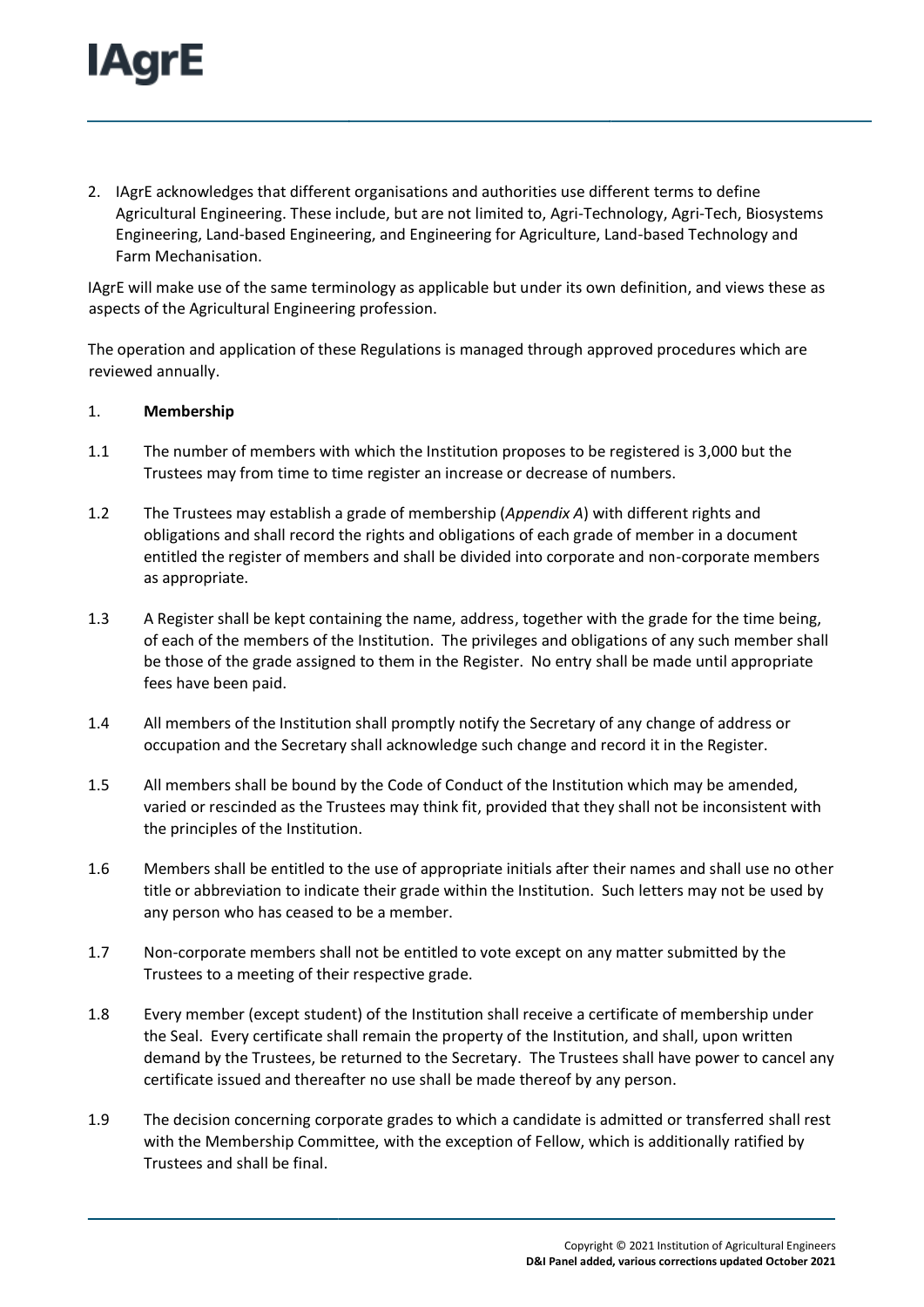2. IAgrE acknowledges that different organisations and authorities use different terms to define Agricultural Engineering. These include, but are not limited to, Agri-Technology, Agri-Tech, Biosystems Engineering, Land-based Engineering, and Engineering for Agriculture, Land-based Technology and Farm Mechanisation.

IAgrE will make use of the same terminology as applicable but under its own definition, and views these as aspects of the Agricultural Engineering profession.

The operation and application of these Regulations is managed through approved procedures which are reviewed annually.

#### 1. **Membership**

- 1.1 The number of members with which the Institution proposes to be registered is 3,000 but the Trustees may from time to time register an increase or decrease of numbers.
- 1.2 The Trustees may establish a grade of membership (*Appendix A*) with different rights and obligations and shall record the rights and obligations of each grade of member in a document entitled the register of members and shall be divided into corporate and non-corporate members as appropriate.
- 1.3 A Register shall be kept containing the name, address, together with the grade for the time being, of each of the members of the Institution. The privileges and obligations of any such member shall be those of the grade assigned to them in the Register. No entry shall be made until appropriate fees have been paid.
- 1.4 All members of the Institution shall promptly notify the Secretary of any change of address or occupation and the Secretary shall acknowledge such change and record it in the Register.
- 1.5 All members shall be bound by the Code of Conduct of the Institution which may be amended, varied or rescinded as the Trustees may think fit, provided that they shall not be inconsistent with the principles of the Institution.
- 1.6 Members shall be entitled to the use of appropriate initials after their names and shall use no other title or abbreviation to indicate their grade within the Institution. Such letters may not be used by any person who has ceased to be a member.
- 1.7 Non-corporate members shall not be entitled to vote except on any matter submitted by the Trustees to a meeting of their respective grade.
- 1.8 Every member (except student) of the Institution shall receive a certificate of membership under the Seal. Every certificate shall remain the property of the Institution, and shall, upon written demand by the Trustees, be returned to the Secretary. The Trustees shall have power to cancel any certificate issued and thereafter no use shall be made thereof by any person.
- 1.9 The decision concerning corporate grades to which a candidate is admitted or transferred shall rest with the Membership Committee, with the exception of Fellow, which is additionally ratified by Trustees and shall be final.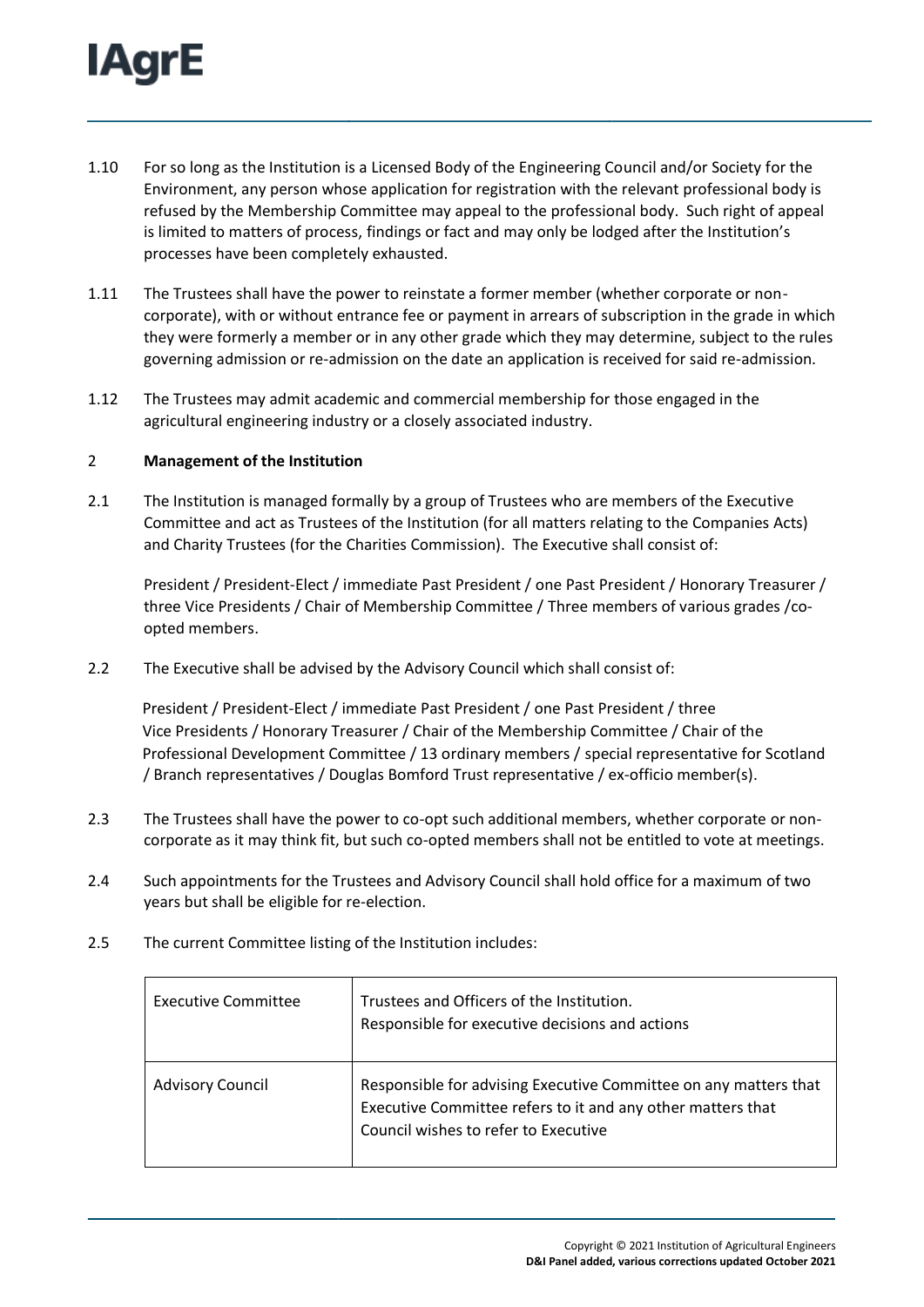- 1.10 For so long as the Institution is a Licensed Body of the Engineering Council and/or Society for the Environment, any person whose application for registration with the relevant professional body is refused by the Membership Committee may appeal to the professional body. Such right of appeal is limited to matters of process, findings or fact and may only be lodged after the Institution's processes have been completely exhausted.
- 1.11 The Trustees shall have the power to reinstate a former member (whether corporate or noncorporate), with or without entrance fee or payment in arrears of subscription in the grade in which they were formerly a member or in any other grade which they may determine, subject to the rules governing admission or re-admission on the date an application is received for said re-admission.
- 1.12 The Trustees may admit academic and commercial membership for those engaged in the agricultural engineering industry or a closely associated industry.

## 2 **Management of the Institution**

2.1 The Institution is managed formally by a group of Trustees who are members of the Executive Committee and act as Trustees of the Institution (for all matters relating to the Companies Acts) and Charity Trustees (for the Charities Commission). The Executive shall consist of:

President / President-Elect / immediate Past President / one Past President / Honorary Treasurer / three Vice Presidents / Chair of Membership Committee / Three members of various grades /coopted members.

2.2 The Executive shall be advised by the Advisory Council which shall consist of:

President / President-Elect / immediate Past President / one Past President / three Vice Presidents / Honorary Treasurer / Chair of the Membership Committee / Chair of the Professional Development Committee / 13 ordinary members / special representative for Scotland / Branch representatives / Douglas Bomford Trust representative / ex-officio member(s).

- 2.3 The Trustees shall have the power to co-opt such additional members, whether corporate or noncorporate as it may think fit, but such co-opted members shall not be entitled to vote at meetings.
- 2.4 Such appointments for the Trustees and Advisory Council shall hold office for a maximum of two years but shall be eligible for re-election.
- 2.5 The current Committee listing of the Institution includes:

| Executive Committee     | Trustees and Officers of the Institution.<br>Responsible for executive decisions and actions                                                                            |
|-------------------------|-------------------------------------------------------------------------------------------------------------------------------------------------------------------------|
| <b>Advisory Council</b> | Responsible for advising Executive Committee on any matters that<br>Executive Committee refers to it and any other matters that<br>Council wishes to refer to Executive |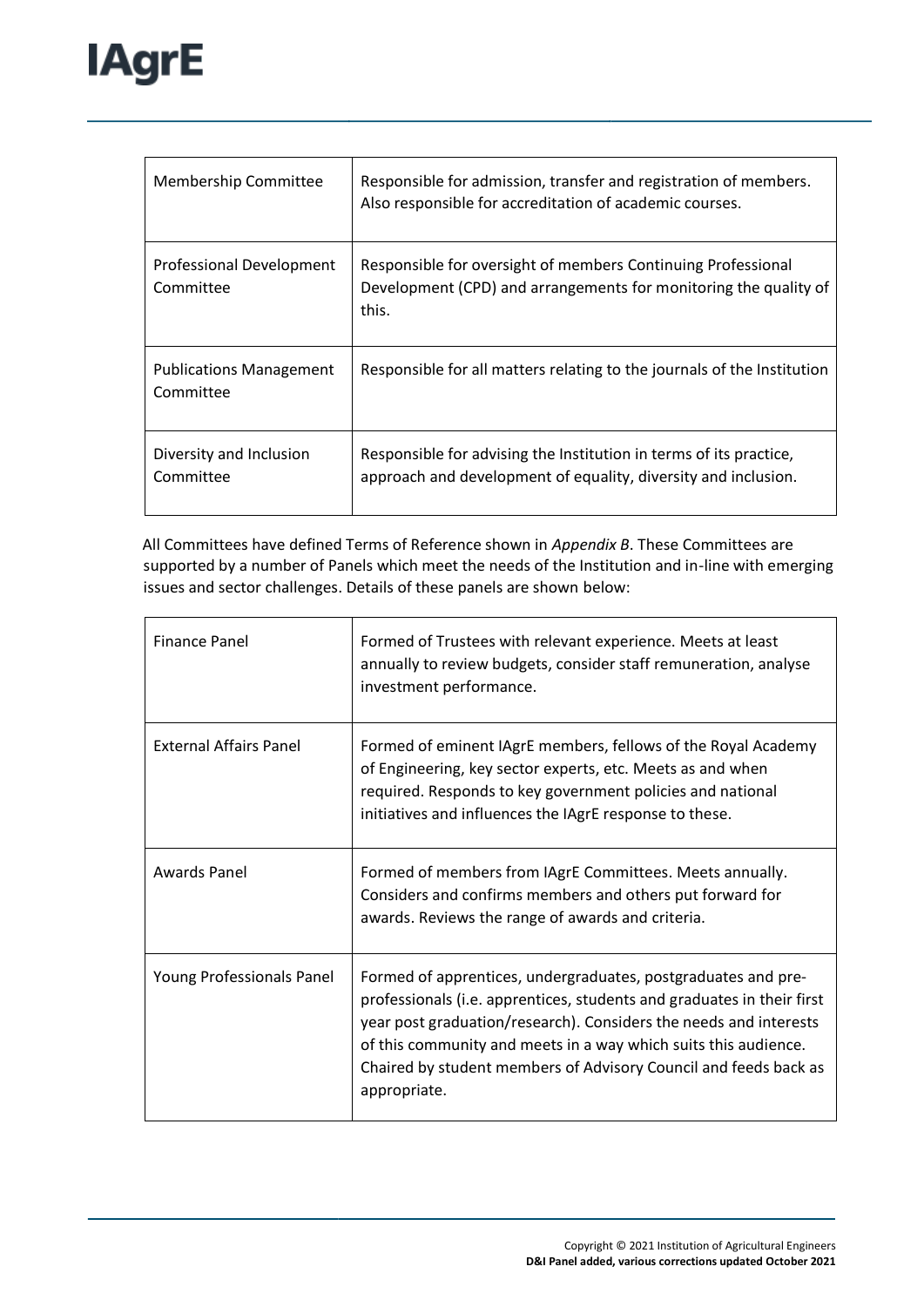| <b>Membership Committee</b>                  | Responsible for admission, transfer and registration of members.<br>Also responsible for accreditation of academic courses.               |
|----------------------------------------------|-------------------------------------------------------------------------------------------------------------------------------------------|
| <b>Professional Development</b><br>Committee | Responsible for oversight of members Continuing Professional<br>Development (CPD) and arrangements for monitoring the quality of<br>this. |
| <b>Publications Management</b><br>Committee  | Responsible for all matters relating to the journals of the Institution                                                                   |
| Diversity and Inclusion<br>Committee         | Responsible for advising the Institution in terms of its practice,<br>approach and development of equality, diversity and inclusion.      |

All Committees have defined Terms of Reference shown in *Appendix B*. These Committees are supported by a number of Panels which meet the needs of the Institution and in-line with emerging issues and sector challenges. Details of these panels are shown below:

| <b>Finance Panel</b>          | Formed of Trustees with relevant experience. Meets at least<br>annually to review budgets, consider staff remuneration, analyse<br>investment performance.                                                                                                                                                                                                          |
|-------------------------------|---------------------------------------------------------------------------------------------------------------------------------------------------------------------------------------------------------------------------------------------------------------------------------------------------------------------------------------------------------------------|
| <b>External Affairs Panel</b> | Formed of eminent IAgrE members, fellows of the Royal Academy<br>of Engineering, key sector experts, etc. Meets as and when<br>required. Responds to key government policies and national<br>initiatives and influences the IAgrE response to these.                                                                                                                |
| <b>Awards Panel</b>           | Formed of members from IAgrE Committees. Meets annually.<br>Considers and confirms members and others put forward for<br>awards. Reviews the range of awards and criteria.                                                                                                                                                                                          |
| Young Professionals Panel     | Formed of apprentices, undergraduates, postgraduates and pre-<br>professionals (i.e. apprentices, students and graduates in their first<br>year post graduation/research). Considers the needs and interests<br>of this community and meets in a way which suits this audience.<br>Chaired by student members of Advisory Council and feeds back as<br>appropriate. |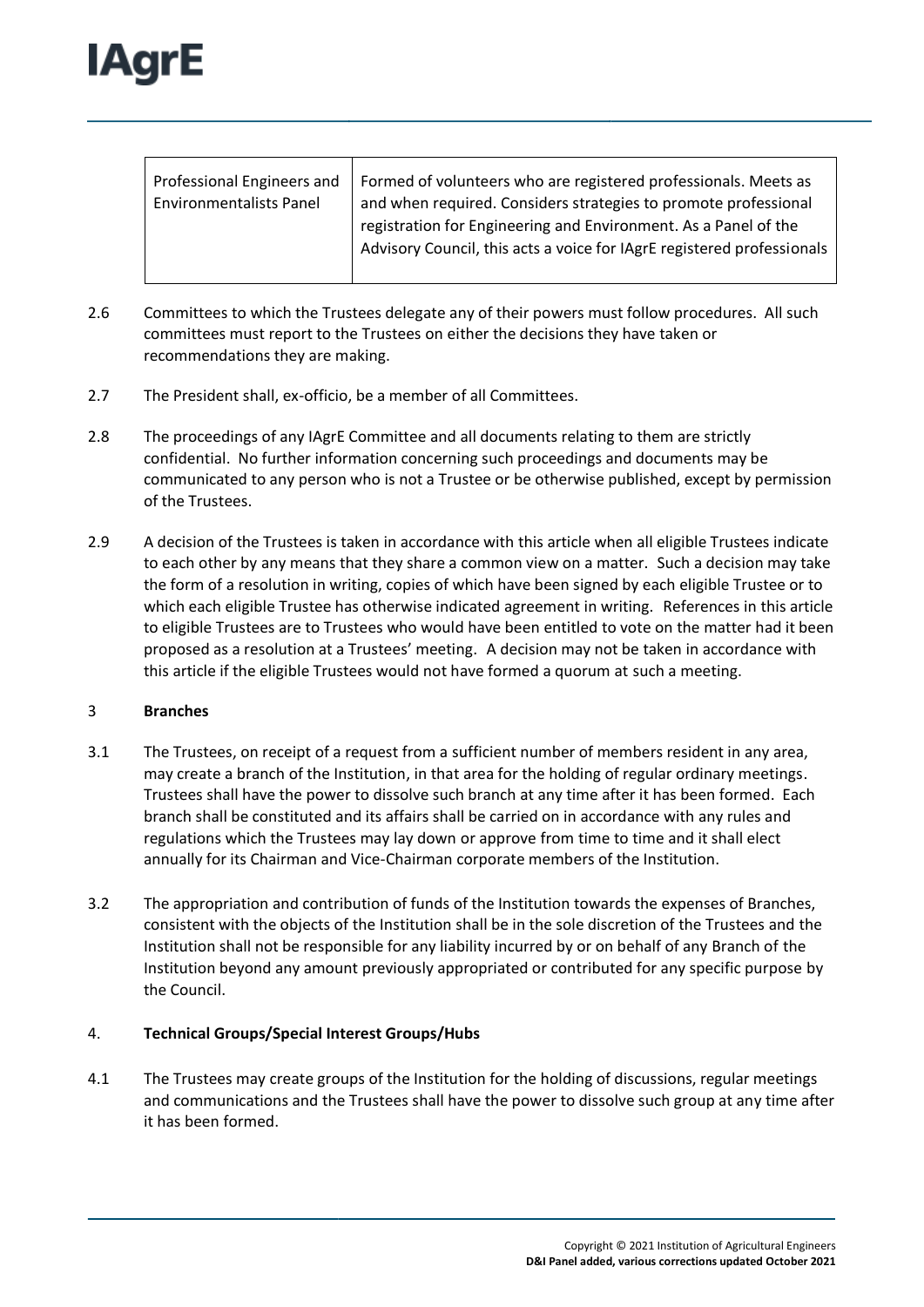| Professional Engineers and<br><b>Environmentalists Panel</b> | Formed of volunteers who are registered professionals. Meets as<br>and when required. Considers strategies to promote professional<br>registration for Engineering and Environment. As a Panel of the<br>Advisory Council, this acts a voice for IAgrE registered professionals |
|--------------------------------------------------------------|---------------------------------------------------------------------------------------------------------------------------------------------------------------------------------------------------------------------------------------------------------------------------------|
|                                                              |                                                                                                                                                                                                                                                                                 |

- 2.6 Committees to which the Trustees delegate any of their powers must follow procedures. All such committees must report to the Trustees on either the decisions they have taken or recommendations they are making.
- 2.7 The President shall, ex-officio, be a member of all Committees.
- 2.8 The proceedings of any IAgrE Committee and all documents relating to them are strictly confidential. No further information concerning such proceedings and documents may be communicated to any person who is not a Trustee or be otherwise published, except by permission of the Trustees.
- 2.9 A decision of the Trustees is taken in accordance with this article when all eligible Trustees indicate to each other by any means that they share a common view on a matter. Such a decision may take the form of a resolution in writing, copies of which have been signed by each eligible Trustee or to which each eligible Trustee has otherwise indicated agreement in writing. References in this article to eligible Trustees are to Trustees who would have been entitled to vote on the matter had it been proposed as a resolution at a Trustees' meeting. A decision may not be taken in accordance with this article if the eligible Trustees would not have formed a quorum at such a meeting.

#### 3 **Branches**

- 3.1 The Trustees, on receipt of a request from a sufficient number of members resident in any area, may create a branch of the Institution, in that area for the holding of regular ordinary meetings. Trustees shall have the power to dissolve such branch at any time after it has been formed. Each branch shall be constituted and its affairs shall be carried on in accordance with any rules and regulations which the Trustees may lay down or approve from time to time and it shall elect annually for its Chairman and Vice-Chairman corporate members of the Institution.
- 3.2 The appropriation and contribution of funds of the Institution towards the expenses of Branches, consistent with the objects of the Institution shall be in the sole discretion of the Trustees and the Institution shall not be responsible for any liability incurred by or on behalf of any Branch of the Institution beyond any amount previously appropriated or contributed for any specific purpose by the Council.

#### 4. **Technical Groups/Special Interest Groups/Hubs**

4.1 The Trustees may create groups of the Institution for the holding of discussions, regular meetings and communications and the Trustees shall have the power to dissolve such group at any time after it has been formed.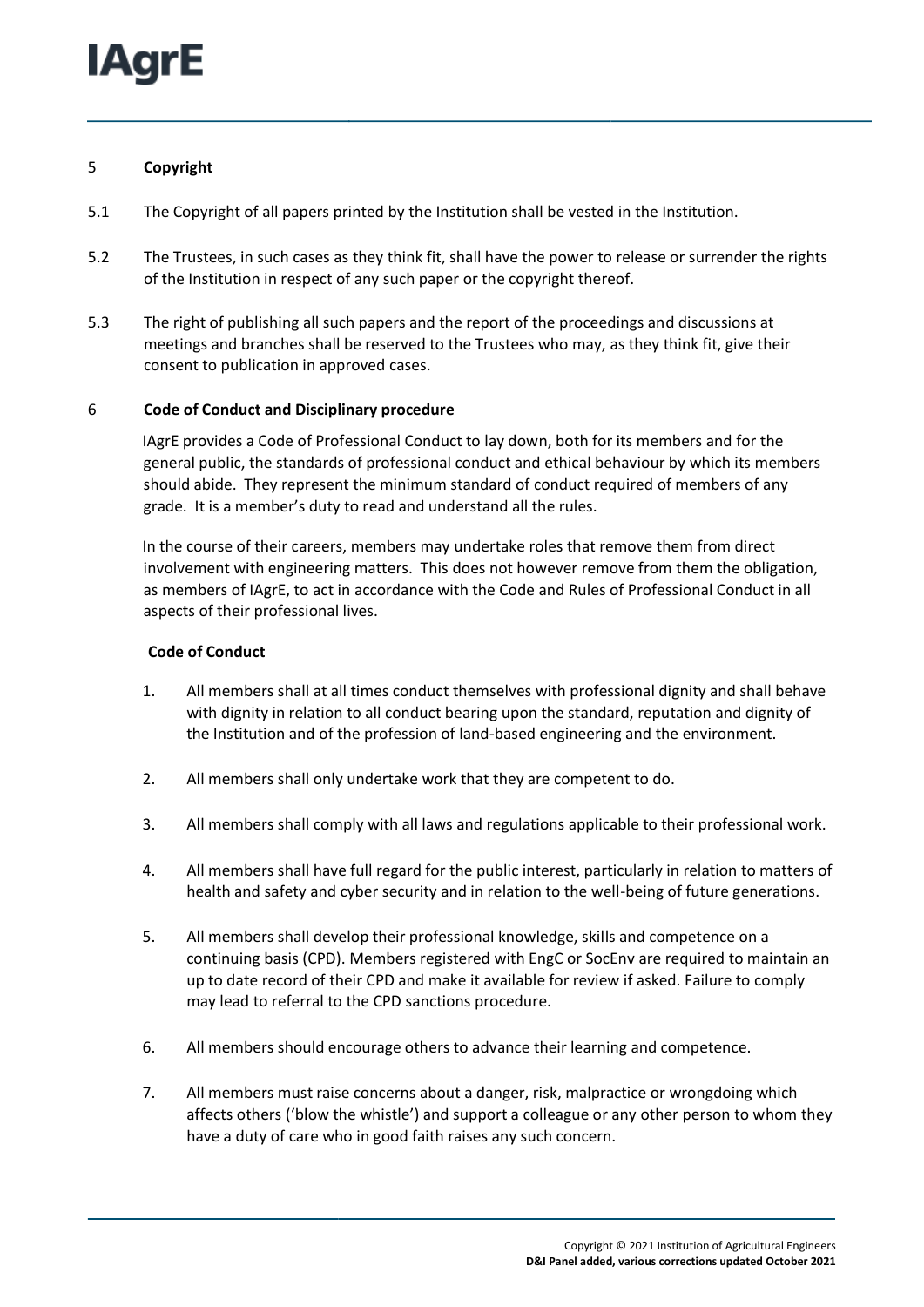# 5 **Copyright**

- 5.1 The Copyright of all papers printed by the Institution shall be vested in the Institution.
- 5.2 The Trustees, in such cases as they think fit, shall have the power to release or surrender the rights of the Institution in respect of any such paper or the copyright thereof.
- 5.3 The right of publishing all such papers and the report of the proceedings and discussions at meetings and branches shall be reserved to the Trustees who may, as they think fit, give their consent to publication in approved cases.

## 6 **Code of Conduct and Disciplinary procedure**

IAgrE provides a Code of Professional Conduct to lay down, both for its members and for the general public, the standards of professional conduct and ethical behaviour by which its members should abide. They represent the minimum standard of conduct required of members of any grade. It is a member's duty to read and understand all the rules.

In the course of their careers, members may undertake roles that remove them from direct involvement with engineering matters. This does not however remove from them the obligation, as members of IAgrE, to act in accordance with the Code and Rules of Professional Conduct in all aspects of their professional lives.

## **Code of Conduct**

- 1. All members shall at all times conduct themselves with professional dignity and shall behave with dignity in relation to all conduct bearing upon the standard, reputation and dignity of the Institution and of the profession of land-based engineering and the environment.
- 2. All members shall only undertake work that they are competent to do.
- 3. All members shall comply with all laws and regulations applicable to their professional work.
- 4. All members shall have full regard for the public interest, particularly in relation to matters of health and safety and cyber security and in relation to the well-being of future generations.
- 5. All members shall develop their professional knowledge, skills and competence on a continuing basis (CPD). Members registered with EngC or SocEnv are required to maintain an up to date record of their CPD and make it available for review if asked. Failure to comply may lead to referral to the CPD sanctions procedure.
- 6. All members should encourage others to advance their learning and competence.
- 7. All members must raise concerns about a danger, risk, malpractice or wrongdoing which affects others ('blow the whistle') and support a colleague or any other person to whom they have a duty of care who in good faith raises any such concern.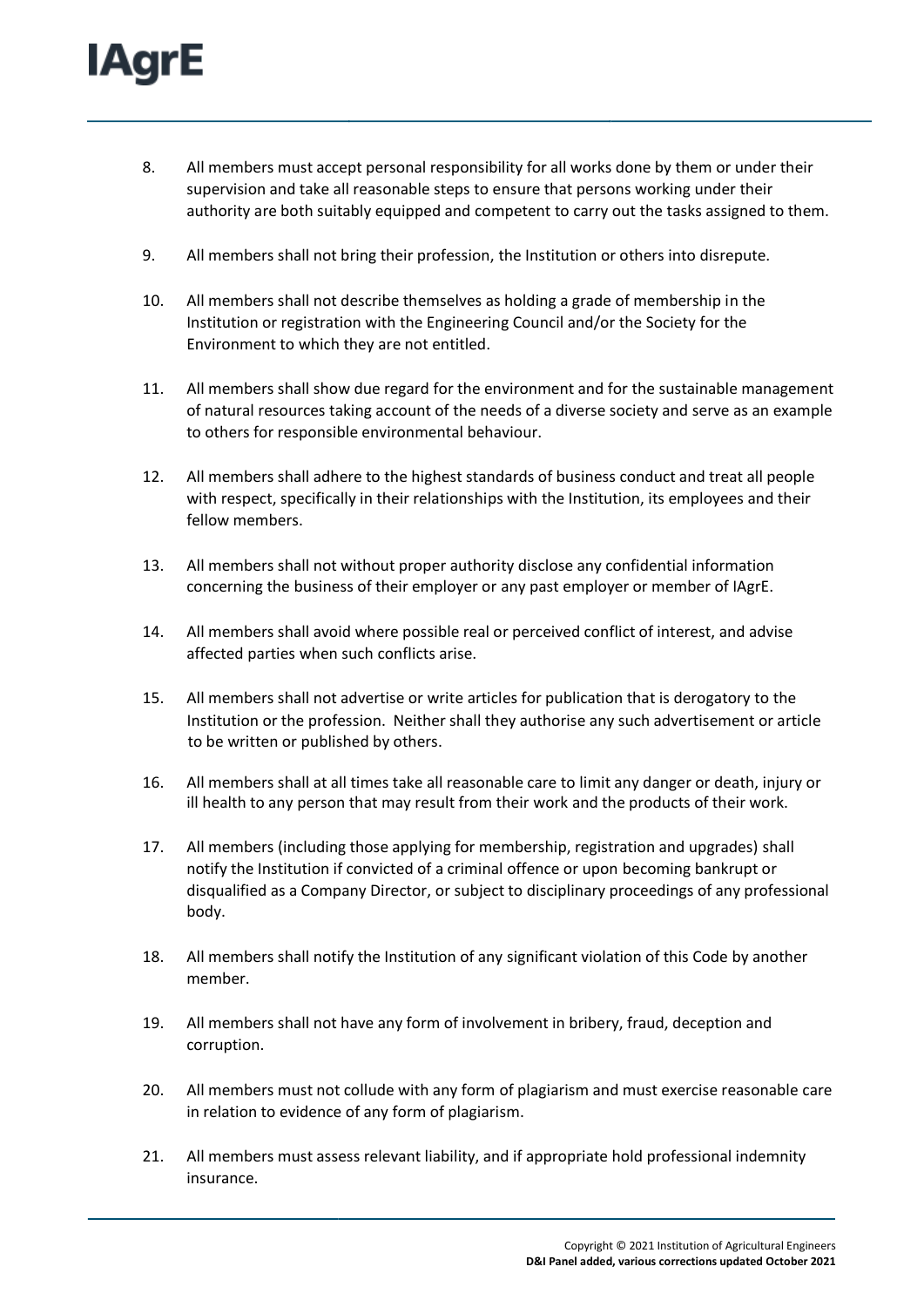- 8. All members must accept personal responsibility for all works done by them or under their supervision and take all reasonable steps to ensure that persons working under their authority are both suitably equipped and competent to carry out the tasks assigned to them.
- 9. All members shall not bring their profession, the Institution or others into disrepute.
- 10. All members shall not describe themselves as holding a grade of membership in the Institution or registration with the Engineering Council and/or the Society for the Environment to which they are not entitled.
- 11. All members shall show due regard for the environment and for the sustainable management of natural resources taking account of the needs of a diverse society and serve as an example to others for responsible environmental behaviour.
- 12. All members shall adhere to the highest standards of business conduct and treat all people with respect, specifically in their relationships with the Institution, its employees and their fellow members.
- 13. All members shall not without proper authority disclose any confidential information concerning the business of their employer or any past employer or member of IAgrE.
- 14. All members shall avoid where possible real or perceived conflict of interest, and advise affected parties when such conflicts arise.
- 15. All members shall not advertise or write articles for publication that is derogatory to the Institution or the profession. Neither shall they authorise any such advertisement or article to be written or published by others.
- 16. All members shall at all times take all reasonable care to limit any danger or death, injury or ill health to any person that may result from their work and the products of their work.
- 17. All members (including those applying for membership, registration and upgrades) shall notify the Institution if convicted of a criminal offence or upon becoming bankrupt or disqualified as a Company Director, or subject to disciplinary proceedings of any professional body.
- 18. All members shall notify the Institution of any significant violation of this Code by another member.
- 19. All members shall not have any form of involvement in bribery, fraud, deception and corruption.
- 20. All members must not collude with any form of plagiarism and must exercise reasonable care in relation to evidence of any form of plagiarism.
- 21. All members must assess relevant liability, and if appropriate hold professional indemnity insurance.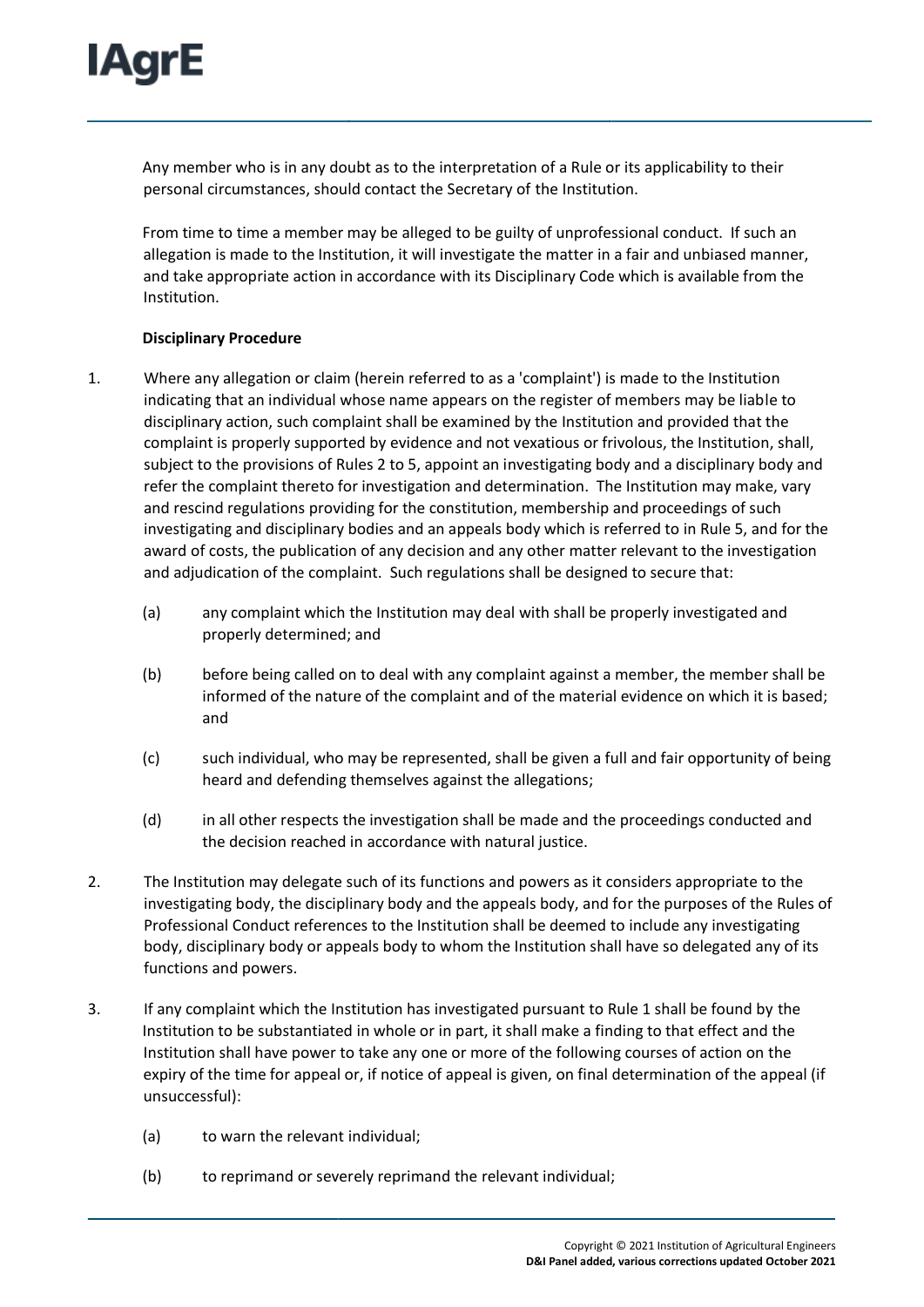Any member who is in any doubt as to the interpretation of a Rule or its applicability to their personal circumstances, should contact the Secretary of the Institution.

From time to time a member may be alleged to be guilty of unprofessional conduct. If such an allegation is made to the Institution, it will investigate the matter in a fair and unbiased manner, and take appropriate action in accordance with its Disciplinary Code which is available from the Institution.

# **Disciplinary Procedure**

- 1. Where any allegation or claim (herein referred to as a 'complaint') is made to the Institution indicating that an individual whose name appears on the register of members may be liable to disciplinary action, such complaint shall be examined by the Institution and provided that the complaint is properly supported by evidence and not vexatious or frivolous, the Institution, shall, subject to the provisions of Rules 2 to 5, appoint an investigating body and a disciplinary body and refer the complaint thereto for investigation and determination. The Institution may make, vary and rescind regulations providing for the constitution, membership and proceedings of such investigating and disciplinary bodies and an appeals body which is referred to in Rule 5, and for the award of costs, the publication of any decision and any other matter relevant to the investigation and adjudication of the complaint. Such regulations shall be designed to secure that:
	- (a) any complaint which the Institution may deal with shall be properly investigated and properly determined; and
	- (b) before being called on to deal with any complaint against a member, the member shall be informed of the nature of the complaint and of the material evidence on which it is based; and
	- (c) such individual, who may be represented, shall be given a full and fair opportunity of being heard and defending themselves against the allegations;
	- (d) in all other respects the investigation shall be made and the proceedings conducted and the decision reached in accordance with natural justice.
- 2. The Institution may delegate such of its functions and powers as it considers appropriate to the investigating body, the disciplinary body and the appeals body, and for the purposes of the Rules of Professional Conduct references to the Institution shall be deemed to include any investigating body, disciplinary body or appeals body to whom the Institution shall have so delegated any of its functions and powers.
- 3. If any complaint which the Institution has investigated pursuant to Rule 1 shall be found by the Institution to be substantiated in whole or in part, it shall make a finding to that effect and the Institution shall have power to take any one or more of the following courses of action on the expiry of the time for appeal or, if notice of appeal is given, on final determination of the appeal (if unsuccessful):
	- (a) to warn the relevant individual;
	- (b) to reprimand or severely reprimand the relevant individual;